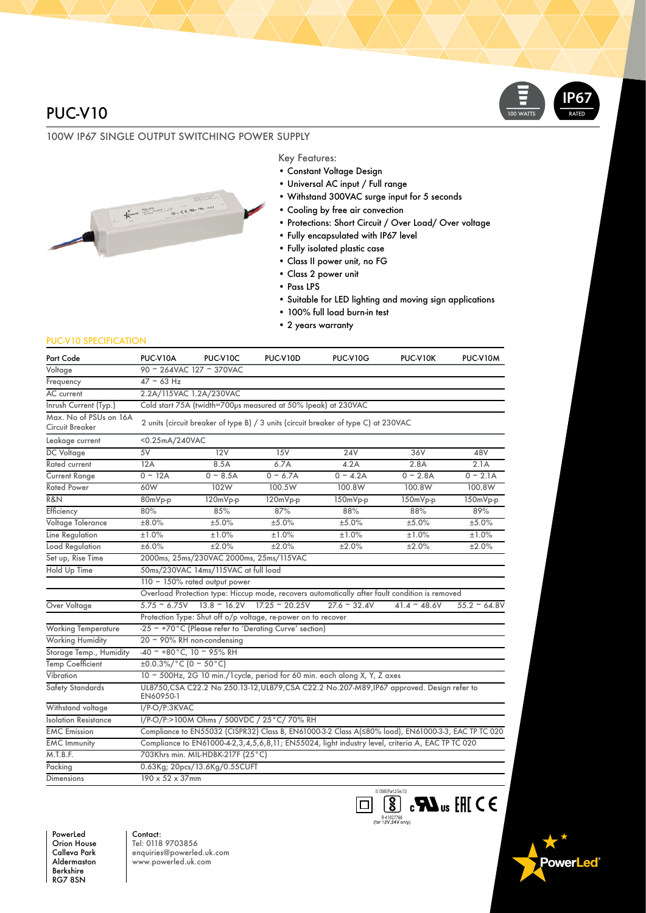## PUC-V10

### 100W IP67 SINGLE OUTPUT SWITCHING POWER SUPPLY



#### Key Features:

- Constant Voltage Design
- Universal AC input / Full range
- Withstand 300VAC surge input for 5 seconds
- Cooling by free air convection
- Protections: Short Circuit / Over Load/ Over voltage
- Fully encapsulated with IP67 level
- Fully isolated plastic case
- Class II power unit, no FG
- Class 2 power unit
- Pass LPS
- Suitable for LED lighting and moving sign applications

**R-41027766**<br>(for 12V,24V only)

- 100% full load burn-in test
- 2 years warranty

#### PUC-V10 SPECIFICATION

| Part Code                                 | PUC-V10A                                                                                                 | PUC-V10C                                                         | PUC-V10D   | PUC-V10G       | PUC-V10K                                                                                           | PUC-V10M       |
|-------------------------------------------|----------------------------------------------------------------------------------------------------------|------------------------------------------------------------------|------------|----------------|----------------------------------------------------------------------------------------------------|----------------|
| Voltage                                   | 90 ~ 264VAC 127 ~ 370VAC                                                                                 |                                                                  |            |                |                                                                                                    |                |
| Frequency                                 | $47 - 63$ Hz                                                                                             |                                                                  |            |                |                                                                                                    |                |
| <b>AC</b> current                         | 2.2A/115VAC 1.2A/230VAC                                                                                  |                                                                  |            |                |                                                                                                    |                |
| Inrush Current (Typ.)                     | Cold start 75A (twidth=700ps measured at 50% Ipeak) at 230VAC                                            |                                                                  |            |                |                                                                                                    |                |
| Max. No of PSUs on 16A<br>Circuit Breaker | 2 units (circuit breaker of type B) / 3 units (circuit breaker of type C) at 230VAC                      |                                                                  |            |                |                                                                                                    |                |
| Leakage current                           | <0.25mA/240VAC                                                                                           |                                                                  |            |                |                                                                                                    |                |
| <b>DC</b> Voltage                         | 5V                                                                                                       | 12V                                                              | 15V        | 24V            | 36V                                                                                                | 48V            |
| Rated current                             | 12A                                                                                                      | 8.5A                                                             | 6.7A       | 4.2A           | 2.8A                                                                                               | 2.1A           |
| <b>Current Range</b>                      | $0 - 12A$                                                                                                | $0 \sim 8.5A$                                                    | $0 - 6.7A$ | $0 - 4.2A$     | $0 - 2.8A$                                                                                         | $0 - 2.1A$     |
| <b>Rated Power</b>                        | 60W                                                                                                      | 102W                                                             | 100.5W     | 100.8W         | 100.8W                                                                                             | 100.8W         |
| R&N                                       | 80mVp-p                                                                                                  | 120mVp-p                                                         | 120mVp-p   | 150mVp-p       | 150mVp-p                                                                                           | 150mVp-p       |
| Efficiency                                | 80%                                                                                                      | 85%                                                              | 87%        | 88%            | 88%                                                                                                | 89%            |
| Voltage Tolerance                         | ±8.0%                                                                                                    | ±5.0%                                                            | ±5.0%      | ±5.0%          | ±5.0%                                                                                              | ±5.0%          |
| Line Regulation                           | ±1.0%                                                                                                    | ±1.0%                                                            | ±1.0%      | ±1.0%          | ±1.0%                                                                                              | ±1.0%          |
| Load Regulation                           | ±6.0%                                                                                                    | ±2.0%                                                            | ±2.0%      | ±2.0%          | ±2.0%                                                                                              | ±2.0%          |
| Set up, Rise Time                         | 2000ms, 25ms/230VAC 2000ms, 25ms/115VAC                                                                  |                                                                  |            |                |                                                                                                    |                |
| Hold Up Time                              | 50ms/230VAC 14ms/115VAC at full load                                                                     |                                                                  |            |                |                                                                                                    |                |
|                                           | 110 ~ 150% rated output power                                                                            |                                                                  |            |                |                                                                                                    |                |
|                                           | Overload Protection type: Hiccup mode, recovers automatically after fault condition is removed           |                                                                  |            |                |                                                                                                    |                |
| Over Voltage                              |                                                                                                          | $5.75 \approx 6.75V$ 13.8 $\approx$ 16.2V 17.25 $\approx$ 20.25V |            | $27.6 - 32.4V$ | $41.4 - 48.6V$                                                                                     | $55.2 - 64.8V$ |
|                                           | Protection Type: Shut off o/p voltage, re-power on to recover                                            |                                                                  |            |                |                                                                                                    |                |
| <b>Working Temperature</b>                | -25 ~ +70°C (Please refer to 'Derating Curve' section)                                                   |                                                                  |            |                |                                                                                                    |                |
| <b>Working Humidity</b>                   | 20 ~ 90% RH non-condensing                                                                               |                                                                  |            |                |                                                                                                    |                |
| Storage Temp., Humidity                   | $-40$ ~ +80°C, 10 ~ 95% RH                                                                               |                                                                  |            |                |                                                                                                    |                |
| Temp Coefficient                          | $\pm 0.0.3\%/^{\circ}C(0 \sim 50\degree C)$                                                              |                                                                  |            |                |                                                                                                    |                |
| Vibration                                 | 10 ~ 500Hz, 2G 10 min./1 cycle, period for 60 min. each along X, Y, Z axes                               |                                                                  |            |                |                                                                                                    |                |
| Safety Standards                          | UL8750, CSA C22.2 No 250.13-12, UL879, CSA C22.2 No.207-M89, IP67 approved. Design refer to<br>EN60950-1 |                                                                  |            |                |                                                                                                    |                |
| Withstand voltage                         | I/P-O/P:3KVAC                                                                                            |                                                                  |            |                |                                                                                                    |                |
| <b>Isolation Resistance</b>               | I/P-O/P:>100M Ohms / 500VDC / 25°C/ 70% RH                                                               |                                                                  |            |                |                                                                                                    |                |
| <b>EMC</b> Emission                       | Compliance to EN55032 (CISPR32) Class B, EN61000-3-2 Class A(≤80% load), EN61000-3-3, EAC TP TC 020      |                                                                  |            |                |                                                                                                    |                |
| <b>EMC Immunity</b>                       | Compliance to EN61000-4-2,3,4,5,6,8,11; EN55024, light industry level, criteria A, EAC TP TC 020         |                                                                  |            |                |                                                                                                    |                |
| M.T.B.F.                                  | 703Khrs min. MIL-HDBK-217F (25°C)                                                                        |                                                                  |            |                |                                                                                                    |                |
| Packing                                   | 0.63Kg; 20pcs/13.6Kg/0.55CUFT                                                                            |                                                                  |            |                |                                                                                                    |                |
| <b>Dimensions</b>                         | 190 x 52 x 37mm                                                                                          |                                                                  |            |                |                                                                                                    |                |
|                                           |                                                                                                          |                                                                  |            |                | IS 15885(Part 2/Sec13)<br>$\overline{\mathbf{S}}$ , $\mathbf{M}$ <sub>us</sub> [f] $\zeta$ $\zeta$ |                |

PowerLed Orion House Calleva Park Aldermaston Berkshire RG7 8SN

Contact: Tel: 0118 9703856 enquiries@powerled.uk.com www.powerled.uk.com

**owerLed**